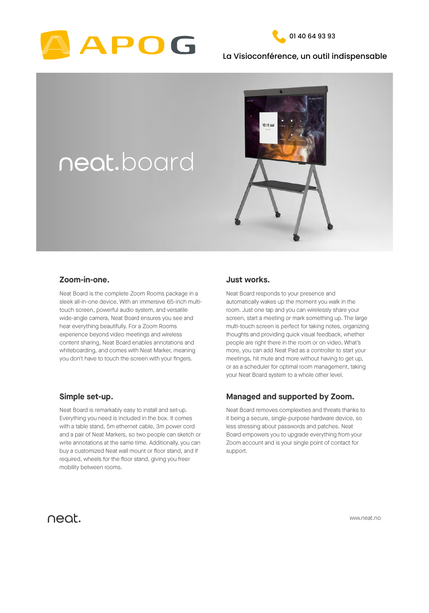



### La Visioconférence, un outil indispensable



www.neat.no

Neat Board is the complete Zoom Rooms package in a sleek all-in-one device. With an immersive 65-inch multitouch screen, powerful audio system, and versatile

wide-angle camera, Neat Board ensures you see and hear everything beautifully. For a Zoom Rooms experience beyond video meetings and wireless content sharing, Neat Board enables annotations and whiteboarding, and comes with Neat Marker, meaning you don't have to touch the screen with your fingers.

## **Zoom-in-one.**

Neat Board is remarkably easy to install and set-up. Everything you need is included in the box. It comes with a table stand, 5m ethernet cable, 3m power cord and a pair of Neat Markers, so two people can sketch or write annotations at the same time. Additionally, you can buy a customized Neat wall mount or floor stand, and if required, wheels for the floor stand, giving you freer mobility between rooms.

### **Simple set-up.**

Neat Board removes complexities and threats thanks to it being a secure, single-purpose hardware device, so less stressing about passwords and patches. Neat Board empowers you to upgrade everything from your Zoom account and is your single point of contact for support.

# neat.

## **Managed and supported by Zoom.**

Neat Board responds to your presence and automatically wakes up the moment you walk in the room. Just one tap and you can wirelessly share your screen, start a meeting or mark something up. The large multi-touch screen is perfect for taking notes, organizing thoughts and providing quick visual feedback, whether people are right there in the room or on video. What's more, you can add Neat Pad as a controller to start your meetings, hit mute and more without having to get up, or as a scheduler for optimal room management, taking your Neat Board system to a whole other level.

### **Just works.**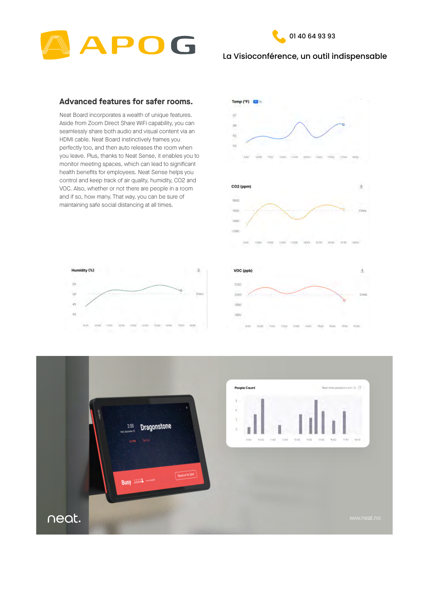



## La Visioconférence, un outil indispensable

Neat Board incorporates a wealth of unique features. Aside from Zoom Direct Share WiFi capability, you can seamlessly share both audio and visual content via an HDMI cable. Neat Board instinctively frames you perfectly too, and then auto releases the room when you leave. Plus, thanks to Neat Sense, it enables you to monitor meeting spaces, which can lead to significant health benefits for employees. Neat Sense helps you control and keep track of air quality, humidity, CO2 and VOC. Also, whether or not there are people in a room and if so, how many. That way, you can be sure of maintaining safe social distancing at all times.







|  |  | 10:30 10:30 11:30 11:01 12:00 14:00 15:00 19:00 17:03 18:00 |  |  |  |  |  |  |  | 8/08 10:00 11:00 12:00 13:00 14:00 15:00 16:00 17:00 18:00 |  |
|--|--|-------------------------------------------------------------|--|--|--|--|--|--|--|------------------------------------------------------------|--|

#### **Advanced features for safer rooms.**